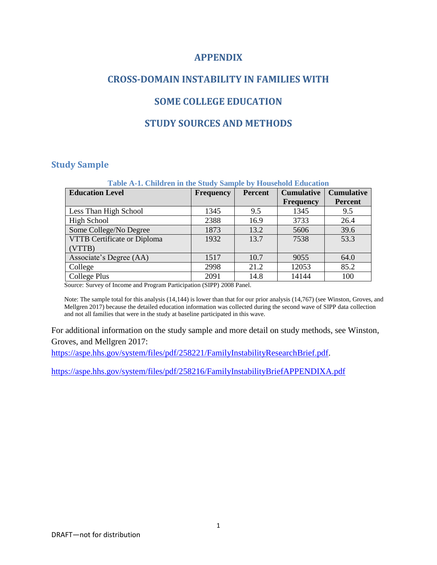### **APPENDIX**

# **CROSS-DOMAIN INSTABILITY IN FAMILIES WITH**

## **SOME COLLEGE EDUCATION**

## **STUDY SOURCES AND METHODS**

#### **Study Sample**

| Table A-1. Children in the Study Sample by Household Education |                  |                |                   |                   |  |  |  |  |  |  |
|----------------------------------------------------------------|------------------|----------------|-------------------|-------------------|--|--|--|--|--|--|
| <b>Education Level</b>                                         | <b>Frequency</b> | <b>Percent</b> | <b>Cumulative</b> | <b>Cumulative</b> |  |  |  |  |  |  |
|                                                                |                  |                | <b>Frequency</b>  | <b>Percent</b>    |  |  |  |  |  |  |
| Less Than High School                                          | 1345             | 9.5            | 1345              | 9.5               |  |  |  |  |  |  |
| High School                                                    | 2388             | 16.9           | 3733              | 26.4              |  |  |  |  |  |  |
| Some College/No Degree                                         | 1873             | 13.2           | 5606              | 39.6              |  |  |  |  |  |  |
| VTTB Certificate or Diploma                                    | 1932             | 13.7           | 7538              | 53.3              |  |  |  |  |  |  |
| (VTTB)                                                         |                  |                |                   |                   |  |  |  |  |  |  |
| Associate's Degree (AA)                                        | 1517             | 10.7           | 9055              | 64.0              |  |  |  |  |  |  |
| College                                                        | 2998             | 21.2           | 12053             | 85.2              |  |  |  |  |  |  |
| College Plus                                                   | 2091             | 14.8           | 14144             | 100               |  |  |  |  |  |  |

Source: Survey of Income and Program Participation (SIPP) 2008 Panel.

Note: The sample total for this analysis (14,144) is lower than that for our prior analysis (14,767) (see Winston, Groves, and Mellgren 2017) because the detailed education information was collected during the second wave of SIPP data collection and not all families that were in the study at baseline participated in this wave.

For additional information on the study sample and more detail on study methods, see Winston, Groves, and Mellgren 2017:

[https://aspe.hhs.gov/system/files/pdf/258221/FamilyInstabilityResearchBrief.pdf.](https://aspe.hhs.gov/system/files/pdf/258221/FamilyInstabilityResearchBrief.pdf)

<https://aspe.hhs.gov/system/files/pdf/258216/FamilyInstabilityBriefAPPENDIXA.pdf>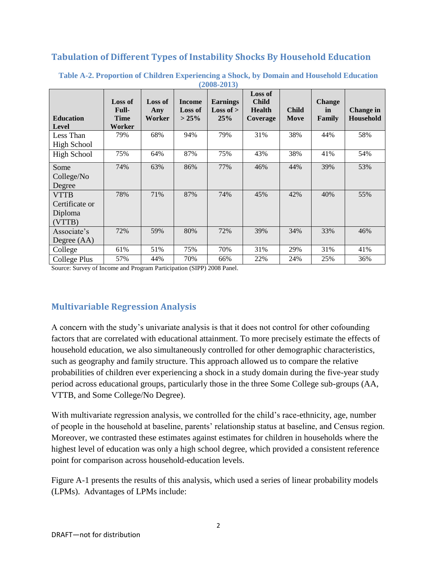# **Tabulation of Different Types of Instability Shocks By Household Education**

| $\mu$ - $\mu$ $\sigma$ - $\mu$ $\sigma$ $\mu$      |                                                  |                                 |                                         |                                              |                                                             |                      |                               |                        |  |  |  |
|----------------------------------------------------|--------------------------------------------------|---------------------------------|-----------------------------------------|----------------------------------------------|-------------------------------------------------------------|----------------------|-------------------------------|------------------------|--|--|--|
| <b>Education</b><br>Level                          | <b>Loss of</b><br>Full-<br><b>Time</b><br>Worker | <b>Loss of</b><br>Any<br>Worker | <b>Income</b><br><b>Loss of</b><br>>25% | <b>Earnings</b><br><b>Loss of</b> $>$<br>25% | <b>Loss of</b><br><b>Child</b><br><b>Health</b><br>Coverage | <b>Child</b><br>Move | <b>Change</b><br>in<br>Family | Change in<br>Household |  |  |  |
| Less Than<br><b>High School</b>                    | 79%                                              | 68%                             | 94%                                     | 79%                                          | 31%                                                         | 38%                  | 44%                           | 58%                    |  |  |  |
| <b>High School</b>                                 | 75%                                              | 64%                             | 87%                                     | 75%                                          | 43%                                                         | 38%                  | 41%                           | 54%                    |  |  |  |
| Some<br>College/No<br>Degree                       | 74%                                              | 63%                             | 86%                                     | 77%                                          | 46%                                                         | 44%                  | 39%                           | 53%                    |  |  |  |
| <b>VTTB</b><br>Certificate or<br>Diploma<br>(VTTB) | 78%                                              | 71%                             | 87%                                     | 74%                                          | 45%                                                         | 42%                  | 40%                           | 55%                    |  |  |  |
| Associate's<br>Degree $(AA)$                       | 72%                                              | 59%                             | 80%                                     | 72%                                          | 39%                                                         | 34%                  | 33%                           | 46%                    |  |  |  |
| College                                            | 61%                                              | 51%                             | 75%                                     | 70%                                          | 31%                                                         | 29%                  | 31%                           | 41%                    |  |  |  |
| College Plus                                       | 57%                                              | 44%                             | 70%                                     | 66%                                          | 22%                                                         | 24%                  | 25%                           | 36%                    |  |  |  |

#### **Table A-2. Proportion of Children Experiencing a Shock, by Domain and Household Education (2008-2013)**

Source: Survey of Income and Program Participation (SIPP) 2008 Panel.

## **Multivariable Regression Analysis**

A concern with the study's univariate analysis is that it does not control for other cofounding factors that are correlated with educational attainment. To more precisely estimate the effects of household education, we also simultaneously controlled for other demographic characteristics, such as geography and family structure. This approach allowed us to compare the relative probabilities of children ever experiencing a shock in a study domain during the five-year study period across educational groups, particularly those in the three Some College sub-groups (AA, VTTB, and Some College/No Degree).

With multivariate regression analysis, we controlled for the child's race-ethnicity, age, number of people in the household at baseline, parents' relationship status at baseline, and Census region. Moreover, we contrasted these estimates against estimates for children in households where the highest level of education was only a high school degree, which provided a consistent reference point for comparison across household-education levels.

Figure A-1 presents the results of this analysis, which used a series of linear probability models (LPMs). Advantages of LPMs include: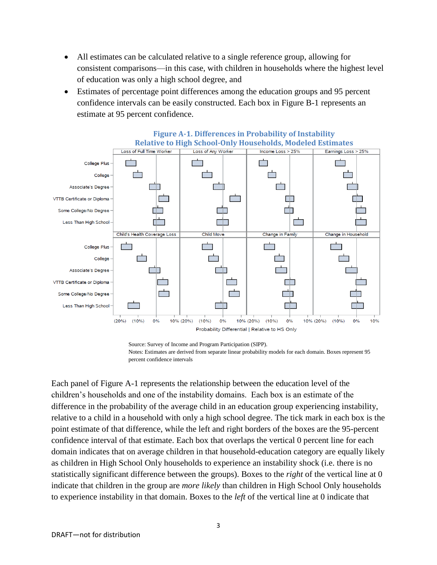- All estimates can be calculated relative to a single reference group, allowing for consistent comparisons—in this case, with children in households where the highest level of education was only a high school degree, and
- Estimates of percentage point differences among the education groups and 95 percent confidence intervals can be easily constructed. Each box in Figure B-1 represents an estimate at 95 percent confidence.



Source: Survey of Income and Program Participation (SIPP). Notes: Estimates are derived from separate linear probability models for each domain. Boxes represent 95 percent confidence intervals

Each panel of Figure A-1 represents the relationship between the education level of the children's households and one of the instability domains. Each box is an estimate of the difference in the probability of the average child in an education group experiencing instability, relative to a child in a household with only a high school degree. The tick mark in each box is the point estimate of that difference, while the left and right borders of the boxes are the 95-percent confidence interval of that estimate. Each box that overlaps the vertical 0 percent line for each domain indicates that on average children in that household-education category are equally likely as children in High School Only households to experience an instability shock (i.e. there is no statistically significant difference between the groups). Boxes to the *right* of the vertical line at 0 indicate that children in the group are *more likely* than children in High School Only households to experience instability in that domain. Boxes to the *left* of the vertical line at 0 indicate that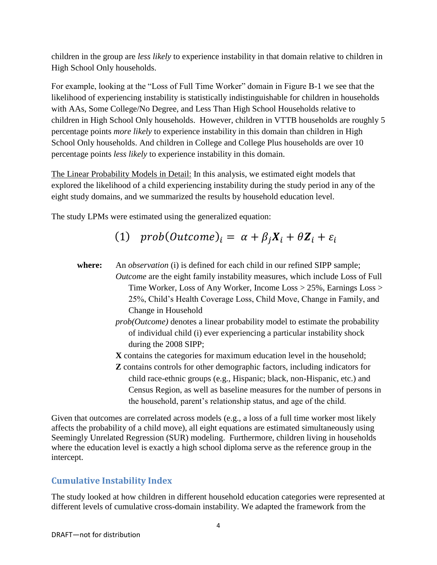children in the group are *less likely* to experience instability in that domain relative to children in High School Only households.

For example, looking at the "Loss of Full Time Worker" domain in Figure B-1 we see that the likelihood of experiencing instability is statistically indistinguishable for children in households with AAs, Some College/No Degree, and Less Than High School Households relative to children in High School Only households. However, children in VTTB households are roughly 5 percentage points *more likely* to experience instability in this domain than children in High School Only households. And children in College and College Plus households are over 10 percentage points *less likely* to experience instability in this domain.

The Linear Probability Models in Detail: In this analysis, we estimated eight models that explored the likelihood of a child experiencing instability during the study period in any of the eight study domains, and we summarized the results by household education level.

The study LPMs were estimated using the generalized equation:

# (1)  $prob(Outcome)_i = \alpha + \beta_i X_i + \theta Z_i + \varepsilon_i$

- **where:** An *observation* (i) is defined for each child in our refined SIPP sample; *Outcome* are the eight family instability measures, which include Loss of Full Time Worker, Loss of Any Worker, Income Loss > 25%, Earnings Loss > 25%, Child's Health Coverage Loss, Child Move, Change in Family, and Change in Household
	- *prob(Outcome)* denotes a linear probability model to estimate the probability of individual child (i) ever experiencing a particular instability shock during the 2008 SIPP;
	- **X** contains the categories for maximum education level in the household;
	- **Z** contains controls for other demographic factors, including indicators for child race-ethnic groups (e.g., Hispanic; black, non-Hispanic, etc.) and Census Region, as well as baseline measures for the number of persons in the household, parent's relationship status, and age of the child.

Given that outcomes are correlated across models (e.g., a loss of a full time worker most likely affects the probability of a child move), all eight equations are estimated simultaneously using Seemingly Unrelated Regression (SUR) modeling. Furthermore, children living in households where the education level is exactly a high school diploma serve as the reference group in the intercept.

# **Cumulative Instability Index**

The study looked at how children in different household education categories were represented at different levels of cumulative cross-domain instability. We adapted the framework from the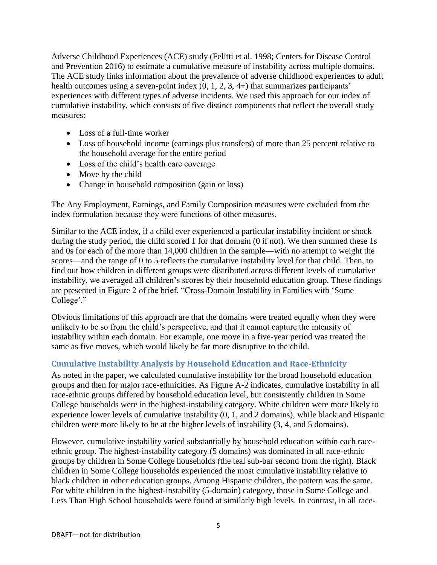Adverse Childhood Experiences (ACE) study (Felitti et al. 1998; Centers for Disease Control and Prevention 2016) to estimate a cumulative measure of instability across multiple domains. The ACE study links information about the prevalence of adverse childhood experiences to adult health outcomes using a seven-point index  $(0, 1, 2, 3, 4+)$  that summarizes participants' experiences with different types of adverse incidents. We used this approach for our index of cumulative instability, which consists of five distinct components that reflect the overall study measures:

- Loss of a full-time worker
- Loss of household income (earnings plus transfers) of more than 25 percent relative to the household average for the entire period
- Loss of the child's health care coverage
- Move by the child
- Change in household composition (gain or loss)

The Any Employment, Earnings, and Family Composition measures were excluded from the index formulation because they were functions of other measures.

Similar to the ACE index, if a child ever experienced a particular instability incident or shock during the study period, the child scored 1 for that domain (0 if not). We then summed these 1s and 0s for each of the more than 14,000 children in the sample—with no attempt to weight the scores—and the range of 0 to 5 reflects the cumulative instability level for that child. Then, to find out how children in different groups were distributed across different levels of cumulative instability, we averaged all children's scores by their household education group. These findings are presented in Figure 2 of the brief, "Cross-Domain Instability in Families with 'Some College'."

Obvious limitations of this approach are that the domains were treated equally when they were unlikely to be so from the child's perspective, and that it cannot capture the intensity of instability within each domain. For example, one move in a five-year period was treated the same as five moves, which would likely be far more disruptive to the child.

## **Cumulative Instability Analysis by Household Education and Race-Ethnicity**

As noted in the paper, we calculated cumulative instability for the broad household education groups and then for major race-ethnicities. As Figure A-2 indicates, cumulative instability in all race-ethnic groups differed by household education level, but consistently children in Some College households were in the highest-instability category. White children were more likely to experience lower levels of cumulative instability (0, 1, and 2 domains), while black and Hispanic children were more likely to be at the higher levels of instability (3, 4, and 5 domains).

However, cumulative instability varied substantially by household education within each raceethnic group. The highest-instability category (5 domains) was dominated in all race-ethnic groups by children in Some College households (the teal sub-bar second from the right). Black children in Some College households experienced the most cumulative instability relative to black children in other education groups. Among Hispanic children, the pattern was the same. For white children in the highest-instability (5-domain) category, those in Some College and Less Than High School households were found at similarly high levels. In contrast, in all race